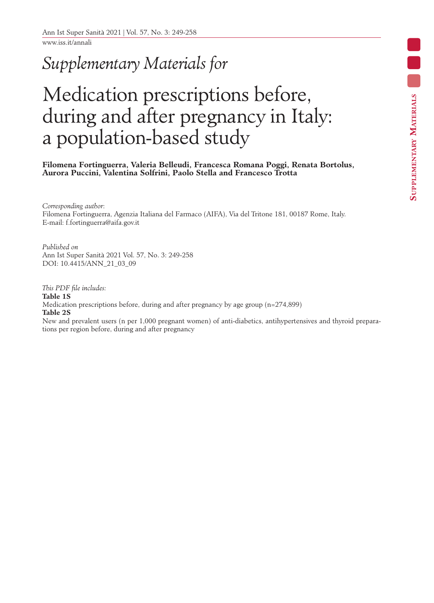www.iss.it/annali

## *Supplementary Materials for*

## Medication prescriptions before, during and after pregnancy in Italy: a population-based study

**Filomena Fortinguerra, Valeria Belleudi, Francesca Romana Poggi, Renata Bortolus, Aurora Puccini, Valentina Solfrini, Paolo Stella and Francesco Trotta**

*Corresponding author*: Filomena Fortinguerra, Agenzia Italiana del Farmaco (AIFA), Via del Tritone 181, 00187 Rome, Italy. E-mail: f.fortinguerra@aifa.gov.it

*Published on* Ann Ist Super Sanità 2021 Vol. 57, No. 3: 249-258 DOI: 10.4415/ANN\_21\_03\_09

*This PDF file includes:* **Table 1S** Medication prescriptions before, during and after pregnancy by age group (n=274,899) **Table 2S**

New and prevalent users (n per 1,000 pregnant women) of anti-diabetics, antihypertensives and thyroid preparations per region before, during and after pregnancy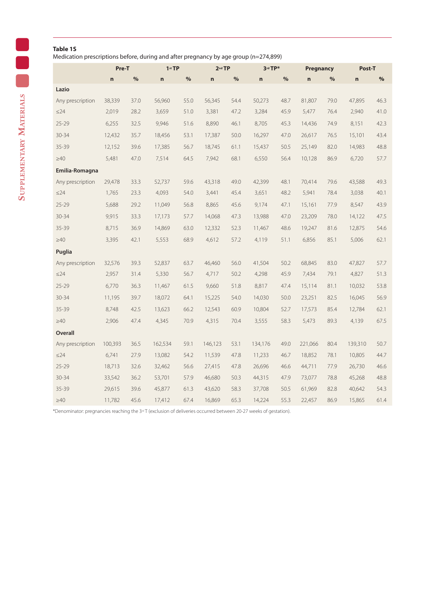## **Table 1S**

Medication prescriptions before, during and after pregnancy by age group (n=274,899)

|                  | Pre-T   |      | $1st$ TP    |      | 2 <sup>nd</sup> TP |      | 3rd TP*     |      | Pregnancy   |      | Post-T  |      |
|------------------|---------|------|-------------|------|--------------------|------|-------------|------|-------------|------|---------|------|
|                  | n       | $\%$ | $\mathbf n$ | $\%$ | $\mathbf n$        | $\%$ | $\mathbf n$ | %    | $\mathbf n$ | %    | n       | $\%$ |
| Lazio            |         |      |             |      |                    |      |             |      |             |      |         |      |
| Any prescription | 38,339  | 37.0 | 56,960      | 55.0 | 56,345             | 54.4 | 50,273      | 48.7 | 81,807      | 79.0 | 47,895  | 46.3 |
| $\leq$ 24        | 2,019   | 28.2 | 3,659       | 51.0 | 3,381              | 47.2 | 3,284       | 45.9 | 5,477       | 76.4 | 2,940   | 41.0 |
| $25 - 29$        | 6,255   | 32.5 | 9,946       | 51.6 | 8,890              | 46.1 | 8,705       | 45.3 | 14,436      | 74.9 | 8,151   | 42.3 |
| $30 - 34$        | 12,432  | 35.7 | 18,456      | 53.1 | 17,387             | 50.0 | 16,297      | 47.0 | 26,617      | 76.5 | 15,101  | 43.4 |
| 35-39            | 12,152  | 39.6 | 17,385      | 56.7 | 18,745             | 61.1 | 15,437      | 50.5 | 25,149      | 82.0 | 14,983  | 48.8 |
| $\geq 40$        | 5,481   | 47.0 | 7,514       | 64.5 | 7,942              | 68.1 | 6,550       | 56.4 | 10,128      | 86.9 | 6,720   | 57.7 |
| Emilia-Romagna   |         |      |             |      |                    |      |             |      |             |      |         |      |
| Any prescription | 29,478  | 33.3 | 52,737      | 59.6 | 43,318             | 49.0 | 42,399      | 48.1 | 70,414      | 79.6 | 43,588  | 49.3 |
| $\leq$ 24        | 1,765   | 23.3 | 4,093       | 54.0 | 3,441              | 45.4 | 3,651       | 48.2 | 5,941       | 78.4 | 3,038   | 40.1 |
| $25 - 29$        | 5,688   | 29.2 | 11,049      | 56.8 | 8,865              | 45.6 | 9,174       | 47.1 | 15,161      | 77.9 | 8,547   | 43.9 |
| $30 - 34$        | 9,915   | 33.3 | 17,173      | 57.7 | 14,068             | 47.3 | 13,988      | 47.0 | 23,209      | 78.0 | 14,122  | 47.5 |
| $35 - 39$        | 8,715   | 36.9 | 14,869      | 63.0 | 12,332             | 52.3 | 11,467      | 48.6 | 19,247      | 81.6 | 12,875  | 54.6 |
| $\geq 40$        | 3,395   | 42.1 | 5,553       | 68.9 | 4,612              | 57.2 | 4,119       | 51.1 | 6,856       | 85.1 | 5,006   | 62.1 |
| Puglia           |         |      |             |      |                    |      |             |      |             |      |         |      |
| Any prescription | 32,576  | 39.3 | 52,837      | 63.7 | 46,460             | 56.0 | 41,504      | 50.2 | 68,845      | 83.0 | 47,827  | 57.7 |
| $\leq$ 24        | 2,957   | 31.4 | 5,330       | 56.7 | 4,717              | 50.2 | 4,298       | 45.9 | 7,434       | 79.1 | 4,827   | 51.3 |
| $25 - 29$        | 6,770   | 36.3 | 11,467      | 61.5 | 9,660              | 51.8 | 8,817       | 47.4 | 15,114      | 81.1 | 10,032  | 53.8 |
| $30 - 34$        | 11,195  | 39.7 | 18,072      | 64.1 | 15,225             | 54.0 | 14,030      | 50.0 | 23,251      | 82.5 | 16,045  | 56.9 |
| 35-39            | 8,748   | 42.5 | 13,623      | 66.2 | 12,543             | 60.9 | 10,804      | 52.7 | 17,573      | 85.4 | 12,784  | 62.1 |
| $\geq 40$        | 2,906   | 47.4 | 4,345       | 70.9 | 4,315              | 70.4 | 3,555       | 58.3 | 5,473       | 89.3 | 4,139   | 67.5 |
| Overall          |         |      |             |      |                    |      |             |      |             |      |         |      |
| Any prescription | 100,393 | 36.5 | 162,534     | 59.1 | 146,123            | 53.1 | 134,176     | 49.0 | 221,066     | 80.4 | 139,310 | 50.7 |
| ≤24              | 6,741   | 27.9 | 13,082      | 54.2 | 11,539             | 47.8 | 11,233      | 46.7 | 18,852      | 78.1 | 10,805  | 44.7 |
| $25 - 29$        | 18,713  | 32.6 | 32,462      | 56.6 | 27,415             | 47.8 | 26,696      | 46.6 | 44,711      | 77.9 | 26,730  | 46.6 |
| $30 - 34$        | 33,542  | 36.2 | 53,701      | 57.9 | 46,680             | 50.3 | 44,315      | 47.9 | 73,077      | 78.8 | 45,268  | 48.8 |
| $35 - 39$        | 29,615  | 39.6 | 45,877      | 61.3 | 43,620             | 58.3 | 37,708      | 50.5 | 61,969      | 82.8 | 40,642  | 54.3 |
| $\geq 40$        | 11,782  | 45.6 | 17,412      | 67.4 | 16,869             | 65.3 | 14,224      | 55.3 | 22,457      | 86.9 | 15,865  | 61.4 |

\*Denominator: pregnancies reaching the 3rd T (exclusion of deliveries occurred between 20-27 weeks of gestation).